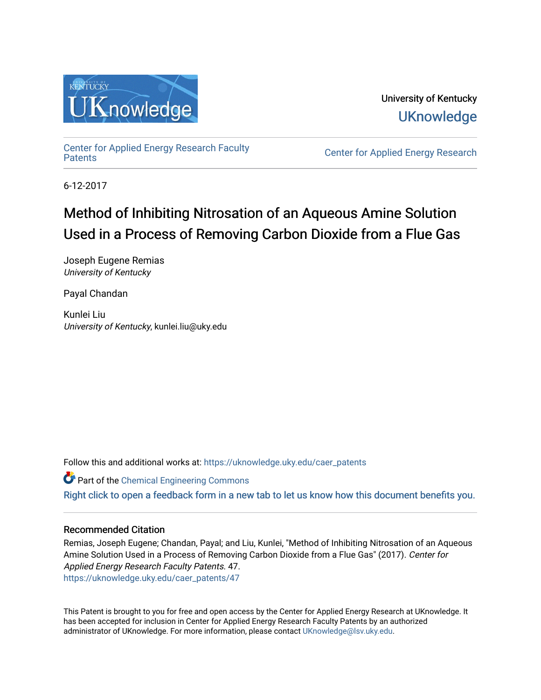

University of Kentucky **UKnowledge** 

[Center for Applied Energy Research Faculty](https://uknowledge.uky.edu/caer_patents)

Center for Applied Energy Research

6-12-2017

# Method of Inhibiting Nitrosation of an Aqueous Amine Solution Used in a Process of Removing Carbon Dioxide from a Flue Gas

Joseph Eugene Remias University of Kentucky

Payal Chandan

Kunlei Liu University of Kentucky, kunlei.liu@uky.edu

Follow this and additional works at: [https://uknowledge.uky.edu/caer\\_patents](https://uknowledge.uky.edu/caer_patents?utm_source=uknowledge.uky.edu%2Fcaer_patents%2F47&utm_medium=PDF&utm_campaign=PDFCoverPages) 

Part of the [Chemical Engineering Commons](http://network.bepress.com/hgg/discipline/240?utm_source=uknowledge.uky.edu%2Fcaer_patents%2F47&utm_medium=PDF&utm_campaign=PDFCoverPages) [Right click to open a feedback form in a new tab to let us know how this document benefits you.](https://uky.az1.qualtrics.com/jfe/form/SV_9mq8fx2GnONRfz7)

## Recommended Citation

Remias, Joseph Eugene; Chandan, Payal; and Liu, Kunlei, "Method of Inhibiting Nitrosation of an Aqueous Amine Solution Used in a Process of Removing Carbon Dioxide from a Flue Gas" (2017). Center for Applied Energy Research Faculty Patents. 47. [https://uknowledge.uky.edu/caer\\_patents/47](https://uknowledge.uky.edu/caer_patents/47?utm_source=uknowledge.uky.edu%2Fcaer_patents%2F47&utm_medium=PDF&utm_campaign=PDFCoverPages)

This Patent is brought to you for free and open access by the Center for Applied Energy Research at UKnowledge. It has been accepted for inclusion in Center for Applied Energy Research Faculty Patents by an authorized administrator of UKnowledge. For more information, please contact [UKnowledge@lsv.uky.edu](mailto:UKnowledge@lsv.uky.edu).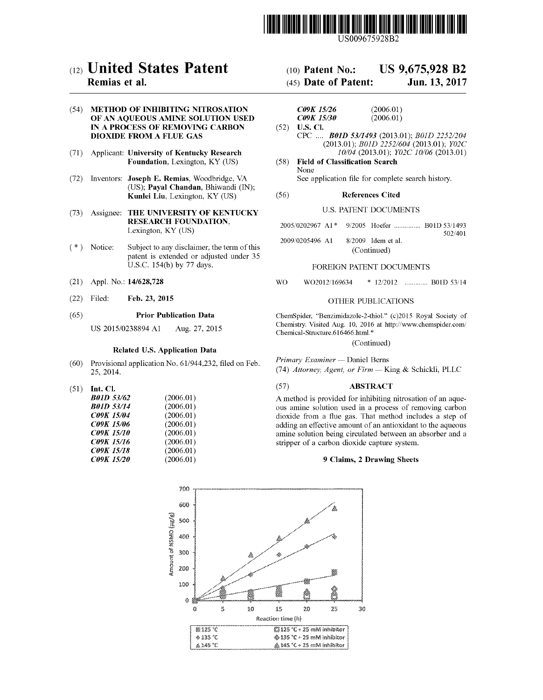

US009675928B2

# c12) **United States Patent**

### **Remias et al.**

### (54) **METHOD OF INHIBITING NITROSATION OF AN AQUEOUS AMINE SOLUTION USED IN A PROCESS OF REMOVING CARBON DIOXIDE FROM A FLUE GAS**

- (71) Applicant: **University of Kentucky Research Foundation,** Lexington, KY (US)
- (72) Inventors: **Joseph E. Remias,** Woodbridge, VA (US); **Payal Chandan,** Bhiwandi (IN); **Kunlei Liu,** Lexington, KY (US)
- (73) Assignee: **THE UNIVERSITY OF KENTUCKY RESEARCH FOUNDATION,**  Lexington, KY (US)
- ( \*) Notice: Subject to any disclaimer, the term of this patent is extended or adjusted under 35 U.S.C. 154(b) by 77 days.
- (21) Appl. No.: **14/628,728**
- (22) Filed: **Feb. 23, 2015**

### (65) **Prior Publication Data**

US 2015/0238894 Al Aug. 27, 2015

### **Related U.S. Application Data**

- (60) Provisional application No. 61/944,232, filed on Feb. 25, 2014.
- (51) **Int. Cl.**

| <b>B01D 53/62</b> | (2006.01) |
|-------------------|-----------|
| <b>B01D 53/14</b> | (2006.01) |
| <b>C09K 15/04</b> | (2006.01) |
| <b>C09K 15/06</b> | (2006.01) |
| <b>C09K 15/10</b> | (2006.01) |
| C09K 15/16        | (2006.01) |
| <b>C09K 15/18</b> | (2006.01) |
| C09K 15/20        | (2006.01) |
|                   |           |

### (10) **Patent No.: US 9,675,928 B2**

### (45) **Date of Patent: Jun.13,2017**

| <i>C09K 15/26</i>        | (2006.01) |
|--------------------------|-----------|
| <i><b>C09K 15/30</b></i> | (2006.01) |
| $(52)$ U.S. Cl.          |           |

- CPC .... *BOlD 5311493* (2013.01); *BOlD 2252/204*  (2013.01); *BOlD 2252/604* (2013.01); *Y02C 10/04* (2013.01); *Y02C 10/06* (2013.01)
- (58) **Field of Classification Search**  None See application file for complete search history.

### (56) **References Cited**

### U.S. PATENT DOCUMENTS

|  |  | 2005/0202967 A1* 9/2005 Hoefer  B01D 53/1493 |
|--|--|----------------------------------------------|
|  |  |                                              |

2009/0205496 A1 8/2009 Idem et a!. (Continued) 502/401

### FOREIGN PATENT DOCUMENTS

wo W02012/169634 \* 12/2012 ............. BOlD 53/14

### OTHER PUBLICATIONS

ChemSpider, "Benzimidazole-2-thiol." (c)2015 Royal Society of Chemistry. Visited Aug. 10, 2016 at http://www.chemspider.com/ Chemical-Structure.616466 .html. \*

(Continued)

*Primary Examiner-* Daniel Berns

(74) *Attorney, Agent, or Firm-* King & Schickli, PLLC

### (57) **ABSTRACT**

A method is provided for inhibiting nitrosation of an aqueous amine solution used in a process of removing carbon dioxide from a flue gas. That method includes a step of adding an effective amount of an antioxidant to the aqueous amine solution being circulated between an absorber and a stripper of a carbon dioxide capture system.

### **9 Claims, 2 Drawing Sheets**

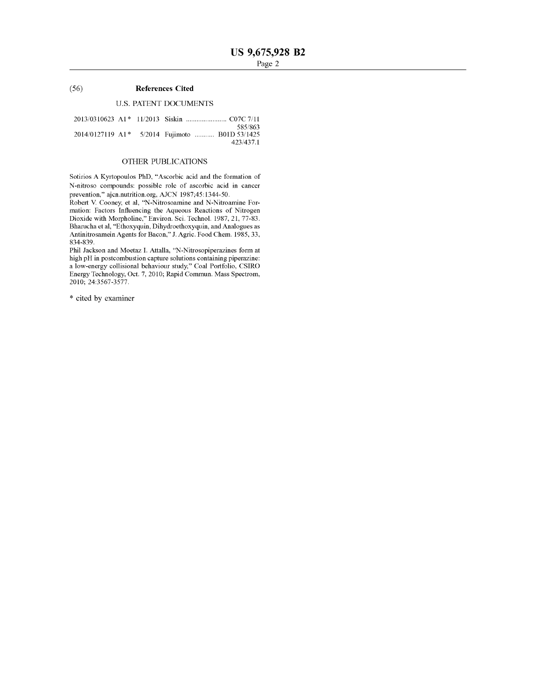### (56) **References Cited**

### U.S. PATENT DOCUMENTS

|  | 2014/0127119 A1* 5/2014 Fujimoto  B01D 53/1425 | 585/863<br>423/437.1 |
|--|------------------------------------------------|----------------------|

### OTHER PUBLICATIONS

Sotirios A Kyrtopoulos PhD, "Ascorbic acid and the formation of N-nitroso compounds: possible role of ascorbic acid in cancer prevention," ajcn.nutrition.org, AJCN 1987;45:1344-50.

Robert V. Cooney, et al, "N-Nitrosoamine and N-Nitroamine Formation: Factors Influencing the Aqueous Reactions of Nitrogen Dioxide with Morpholine," Environ. Sci. Techno!. 1987, 21, 77-83. Bharucha et al, "Ethoxyquin, Dihydroethoxyquin, and Analogues as Antinitrosamein Agents for Bacon," J. Agric. Food Chern. 1985, 33, 834-839.

Phil Jackson and Moetaz I. Attalla, "N-Nitrosopiperazines form at high pH in postcombustion capture solutions containing piperazine: a low-energy collisional behaviour study," Coal Portfolio, CSIRO Energy Technology, Oct. 7, 2010; Rapid Commun. Mass Spectrom, 2010; 24:3567-3577.

\* cited by examiner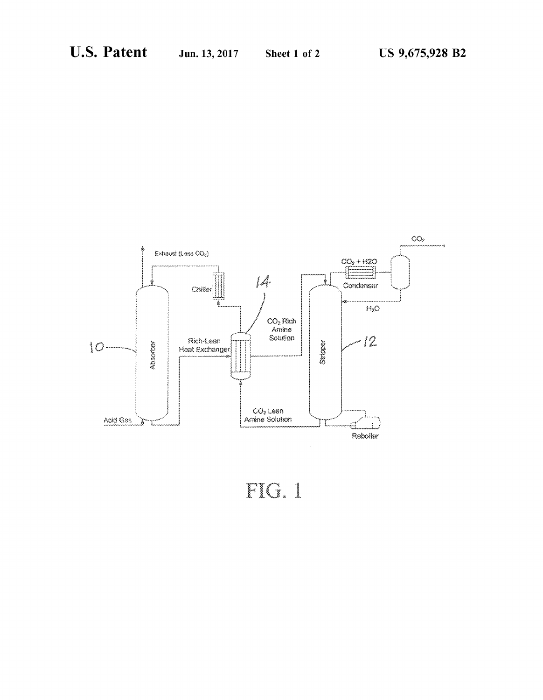

# FIG. 1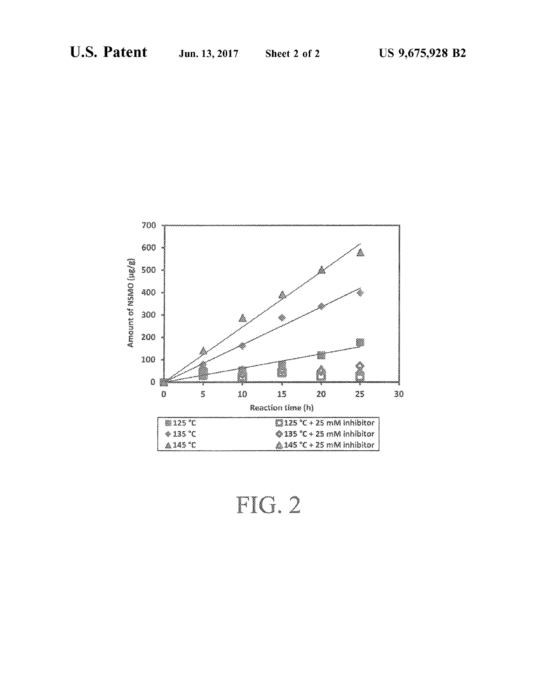

FIG. 2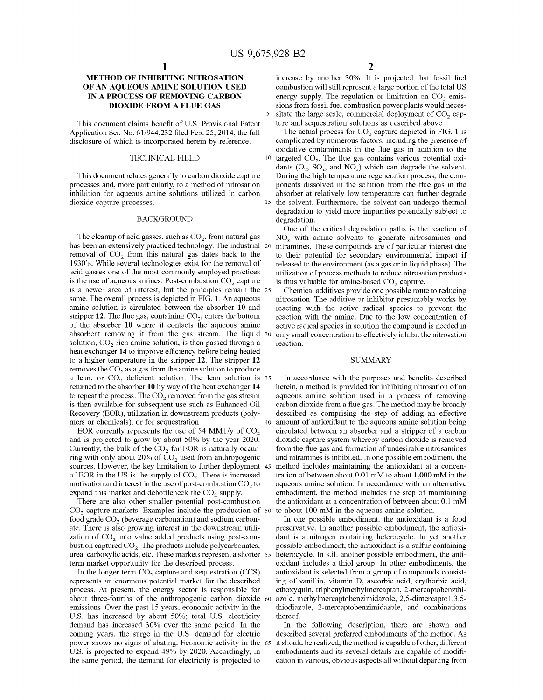### **METHOD OF INHIBITING NITROSATION OF AN AQUEOUS AMINE SOLUTION USED IN A PROCESS OF REMOVING CARBON DIOXIDE FROM A FLUE GAS**

This document claims benefit of U.S. Provisional Patent Application Ser. No. 61/944,232 filed Feb. 25, 2014, the full disclosure of which is incorporated herein by reference.

### TECHNICAL FIELD

This document relates generally to carbon dioxide capture processes and, more particularly, to a method of nitrosation inhibition for aqueous amine solutions utilized in carbon dioxide capture processes.

### BACKGROUND

has been an extensively practiced technology. The industrial 20 removal of CO<sub>2</sub> from this natural gas dates back to the 1930's. While several technologies exist for the removal of acid gasses one of the most commonly employed practices is the use of aqueous amines. Post-combustion  $CO<sub>2</sub>$  capture is a newer area of interest, but the principles remain the 25 same. The overall process is depicted in FIG. **1.** An aqueous amine solution is circulated between the absorber **10** and stripper 12. The flue gas, containing  $CO<sub>2</sub>$ , enters the bottom of the absorber **10** where it contacts the aqueous amine absorbent removing it from the gas stream. The liquid 30 solution,  $CO<sub>2</sub>$  rich amine solution, is then passed through a heat exchanger **14** to improve efficiency before being heated to a higher temperature in the stripper **12.** The stripper **12**  removes the  $CO<sub>2</sub>$  as a gas from the amine solution to produce a lean, or  $CO<sub>2</sub>$  deficient solution. The lean solution is 35 returned to the absorber **10** by way of the heat exchanger **14**  to repeat the process. The  $CO<sub>2</sub>$  removed from the gas stream is then available for subsequent use such as Enhanced Oil Recovery (EOR), utilization in downstream products (poly-

EOR currently represents the use of 54 MMT/y of  $CO<sub>2</sub>$ and is projected to grow by about 50% by the year 2020. Currently, the bulk of the  $CO<sub>2</sub>$  for EOR is naturally occurring with only about 20% of  $CO<sub>2</sub>$  used from anthropogenic sources. However, the key limitation to further deployment 45 of EOR in the US is the supply of  $CO<sub>2</sub>$ . There is increased motivation and interest in the use of post-combustion  $CO<sub>2</sub>$  to expand this market and debottleneck the  $CO<sub>2</sub>$  supply.

There are also other smaller potential post-combustion  $CO<sub>2</sub>$  capture markets. Examples include the production of 50 food grade  $CO<sub>2</sub>$  (beverage carbonation) and sodium carbonate. There is also growing interest in the downstream utilization of  $CO<sub>2</sub>$  into value added products using post-combustion captured  $CO<sub>2</sub>$ . The products include polycarbonates, urea, carboxylic acids, etc. These markets represent a shorter 55 term market opportunity for the described process.

In the longer term  $CO<sub>2</sub>$  capture and sequestration  $(CCS)$ represents an enormous potential market for the described process. At present, the energy sector is responsible for about three-fourths of the anthropogenic carbon dioxide 60 emissions. Over the past 15 years, economic activity in the U.S. has increased by about 50%; total U.S. electricity demand has increased 30% over the same period. In the coming years, the surge in the U.S. demand for electric power shows no signs of abating. Economic activity in the 65 U.S. is projected to expand 49% by 2020. Accordingly, in the same period, the demand for electricity is projected to

increase by another 30%. It is projected that fossil fuel combustion will still represent a large portion of the total US energy supply. The regulation or limitation on  $CO<sub>2</sub>$  emissions from fossil fuel combustion power plants would necessitate the large scale, commercial deployment of  $CO<sub>2</sub>$  capture and sequestration solutions as described above.

The actual process for  $CO<sub>2</sub>$  capture depicted in FIG. 1 is complicated by numerous factors, including the presence of oxidative contaminants in the flue gas in addition to the  $10$  targeted  $CO<sub>2</sub>$ . The flue gas contains various potential oxidants  $(O_2, SO_x, and NO_x)$  which can degrade the solvent. During the high temperature regeneration process, the components dissolved in the solution from the flue gas in the absorber at relatively low temperature can further degrade 15 the solvent. Furthermore, the solvent can undergo thermal degradation to yield more impurities potentially subject to degradation.

One of the critical degradation paths is the reaction of The cleanup of acid gasses, such as  $CO<sub>2</sub>$ , from natural gas  $NO<sub>x</sub>$  with amine solvents to generate nitrosamines and nitramines. These compounds are of particular interest due to their potential for secondary environmental impact if released to the environment (as a gas or in liquid phase). The utilization of process methods to reduce nitrosation products is thus valuable for amine-based  $CO<sub>2</sub>$  capture.

> Chemical additives provide one possible route to reducing nitrosation. The additive or inhibitor presumably works by reacting with the active radical species to prevent the reaction with the amine. Due to the low concentration of active radical species in solution the compound is needed in only small concentration to effectively inhibit the nitrosation reaction.

### **SUMMARY**

In accordance with the purposes and benefits described herein, a method is provided for inhibiting nitrosation of an aqueous amine solution used in a process of removing carbon dioxide from a flue gas. The method may be broadly described as comprising the step of adding an effective mers or chemicals), or for sequestration. 40 amount of antioxidant to the aqueous amine solution being circulated between an absorber and a stripper of a carbon dioxide capture system whereby carbon dioxide is removed from the flue gas and formation of undesirable nitrosamines and nitramines is inhibited. In one possible embodiment, the method includes maintaining the antioxidant at a concentration of between about 0.01 mM to about 1,000 mM in the aqueous amine solution. In accordance with an alternative embodiment, the method includes the step of maintaining the antioxidant at a concentration of between about 0.1 mM to about 100 mM in the aqueous amine solution.

> In one possible embodiment, the antioxidant is a food preservative. In another possible embodiment, the antioxidant is a nitrogen containing heterocycle. In yet another possible embodiment, the antioxidant is a sulfur containing heterocycle. In still another possible embodiment, the antioxidant includes a thiol group. In other embodiments, the antioxidant is selected from a group of compounds consisting of vanillin, vitamin D, ascorbic acid, erythorbic acid, ethoxyquin, triphenylmethylmercaptan, 2-mercaptobenzthiazole, methylmercaptobenzimidazole, 2,5-dimercaptol ,3,5 thiodiazole, 2-mercaptobenzimidazole, and combinations thereof.

> In the following description, there are shown and described several preferred embodiments of the method. As it should be realized, the method is capable of other, different embodiments and its several details are capable of modification in various, obvious aspects all without departing from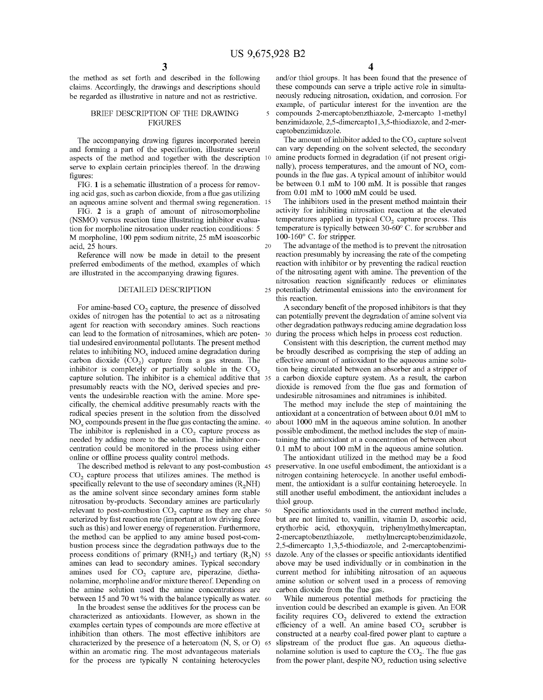$\overline{\mathbf{S}}$ 

20

the method as set forth and described in the following claims. Accordingly, the drawings and descriptions should be regarded as illustrative in nature and not as restrictive.

### BRIEF DESCRIPTION OF THE DRAWING **FIGURES**

The accompanying drawing figures incorporated herein and forming a part of the specification, illustrate several aspects of the method and together with the description serve to explain certain principles thereof. In the drawing figures:

FIG. 1 is a schematic illustration of a process for removing acid gas, such as carbon dioxide, from a flue gas utilizing an aqueous amine solvent and thermal swing regeneration. 15

FIG. 2 is a graph of amount of nitrosomorpholine (NSMO) versus reaction time illustrating inhibitor evaluation for morpholine nitrosation under reaction conditions: 5 M morpholine, 100 ppm sodium nitrite, 25 mM isoascorbic acid, 25 hours.

Reference will now be made in detail to the present preferred embodiments of the method, examples of which are illustrated in the accompanying drawing figures.

For amine-based  $CO<sub>2</sub>$  capture, the presence of dissolved oxides of nitrogen has the potential to act as a nitrosating agent for reaction with secondary amines. Such reactions can lead to the formation of nitrosamines, which are potential undesired environmental pollutants. The present method relates to inhibiting NO<sub>y</sub> induced amine degradation during carbon dioxide  $(CO<sub>2</sub>)$  capture from a gas stream. The inhibitor is completely or partially soluble in the  $CO<sub>2</sub>$ capture solution. The inhibitor is a chemical additive that presumably reacts with the NO<sub>x</sub> derived species and prevents the undesirable reaction with the amine. More specifically, the chemical additive presumably reacts with the radical species present in the solution from the dissolved *NOx* compounds present in the flue gas contacting the amine. 40 The inhibitor is replenished in a  $CO<sub>2</sub>$  capture process as needed by adding more to the solution. The inhibitor concentration could be monitored in the process using either online or oflline process quality control methods.

The described method is relevant to any post-combustion 45 CO<sub>2</sub> capture process that utilizes amines. The method is specifically relevant to the use of secondary amines  $(R_2NH)$ as the amine solvent since secondary amines form stable nitrosation by-products. Secondary amines are particularly relevant to post-combustion  $CO<sub>2</sub>$  capture as they are char- 50 acterized by fast reaction rate (important at low driving force such as this) and lower energy of regeneration. Furthermore, the method can be applied to any amine based post-combustion process since the degradation pathways due to the process conditions of primary  $(RNH<sub>2</sub>)$  and tertiary  $(R<sub>3</sub>N)$  55 amines can lead to secondary amines. Typical secondary amines used for  $CO<sub>2</sub>$  capture are, piperazine, diethanolamine, morpholine and/or mixture thereof. Depending on the amine solution used the amine concentrations are between 15 and 70 wt% with the balance typically as water. 60

In the broadest sense the additives for the process can be characterized as antioxidants. However, as shown in the examples certain types of compounds are more effective at inhibition than others. The most effective inhibitors are characterized by the presence of a heteroatom (N, S, or 0) within an aromatic ring. The most advantageous materials for the process are typically N containing heterocycles

and/or thiol groups. It has been found that the presence of these compounds can serve a triple active role in simultaneously reducing nitrosation, oxidation, and corrosion. For example, of particular interest for the invention are the compounds 2-mercaptobenzthiazole, 2-mercapto 1-methyl benzimidazole, 2,5-dimercaptol ,3,5-thiodiazole, and 2-mercaptobenzimidazole.

The amount of inhibitor added to the  $CO<sub>2</sub>$  capture solvent can vary depending on the solvent selected, the secondary amine products formed in degradation (if not present originally), process temperatures, and the amount of NO<sub>x</sub> compounds in the flue gas. A typical amount of inhibitor would be between 0.1 mM to 100 mM. It is possible that ranges from 0.01 mM to 1000 mM could be used.

The inhibitors used in the present method maintain their activity for inhibiting nitrosation reaction at the elevated temperatures applied in typical  $CO<sub>2</sub>$  capture process. This temperature is typically between 30-60° C. for scrubber and 100-160° C. for stripper.

The advantage of the method is to prevent the nitrosation reaction presumably by increasing the rate of the competing reaction with inhibitor or by preventing the radical reaction of the nitrosating agent with amine. The prevention of the nitrosation reaction significantly reduces or eliminates DETAILED DESCRIPTION 25 potentially detrimental emissions into the environment for this reaction.

> A secondary benefit of the proposed inhibitors is that they can potentially prevent the degradation of amine solvent via other degradation pathways reducing amine degradation loss during the process which helps in process cost reduction.

> Consistent with this description, the current method may be broadly described as comprising the step of adding an effective amount of antioxidant to the aqueous amine solution being circulated between an absorber and a stripper of a carbon dioxide capture system. As a result, the carbon dioxide is removed from the flue gas and formation of undesirable nitrosamines and nitramines is inhibited.

> The method may include the step of maintaining the antioxidant at a concentration of between about 0.01 mM to about 1000 mM in the aqueous amine solution. In another possible embodiment, the method includes the step of maintaining the antioxidant at a concentration of between about 0.1 mM to about 100 mM in the aqueous amine solution.

> The antioxidant utilized in the method may be a food preservative. In one useful embodiment, the antioxidant is a nitrogen containing heterocycle. In another useful embodiment, the antioxidant is a sulfur containing heterocycle. In still another useful embodiment, the antioxidant includes a thiol group.

> Specific antioxidants used in the current method include, but are not limited to, vanillin, vitamin D, ascorbic acid, erythorbic acid, ethoxyquin, triphenylmethylmercaptan, 2-mercaptobenzthiazole, methylmercaptobenzimidazole, 2,5-dimercapto 1,3,5-thiodiazole, and 2-mercaptobenzimidazole. Any of the classes or specific antioxidants identified above may be used individually or in combination in the current method for inhibiting nitrosation of an aqueous amine solution or solvent used in a process of removing carbon dioxide from the flue gas.

> While numerous potential methods for practicing the invention could be described an example is given. An EOR facility requires  $CO<sub>2</sub>$  delivered to extend the extraction efficiency of a well. An amine based CO<sub>2</sub> scrubber is constructed at a nearby coal-fired power plant to capture a slipstream of the product flue gas. An aqueous diethanolamine solution is used to capture the  $CO<sub>2</sub>$ . The flue gas from the power plant, despite *NOx* reduction using selective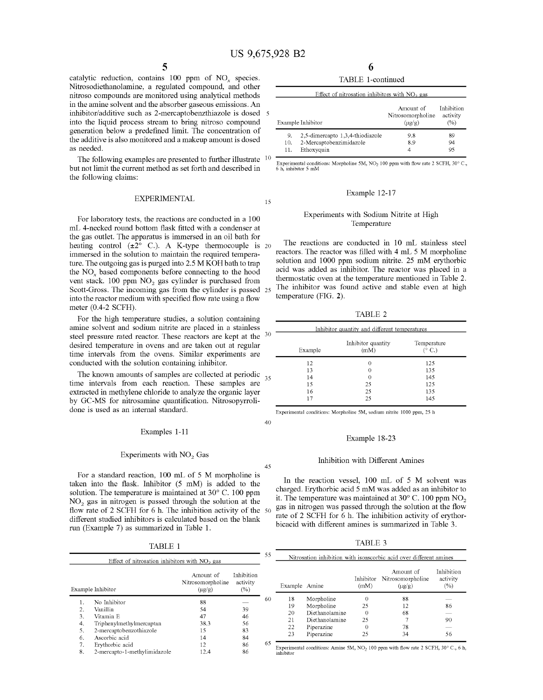40

45

catalytic reduction, contains 100 ppm of *NOx* species. Nitrosodiethanolamine, a regulated compound, and other nitroso compounds are monitored using analytical methods in the amine solvent and the absorber gaseous emissions. An inhibitor/additive such as 2-mercaptobenzthiazole is dosed into the liquid process stream to bring nitroso compound generation below a predefined limit. The concentration of the additive is also monitored and a makeup amount is dosed as needed.

The following examples are presented to further illustrate  $10$ Ine IOHOWING examples are presented to further intistrate  $\frac{1}{2}$  Experimental conditions: Morpholine 5M, NO<sub>2</sub> 100 ppm with flow rate 2 SCFH, 30° C. the following claims:

### EXPERIMENTAL 15

For laboratory tests, the reactions are conducted in a 100 mL 4-necked round bottom flask fitted with a condenser at the gas outlet. The apparatus is immersed in an oil bath for heating control  $(\pm 2^{\circ}$  C.). A K-type thermocouple is 20 immersed in the solution to maintain the required temperature. The outgoing gas is purged into 2.5 M KOH bath to trap the NO<sub>x</sub> based components before connecting to the hood vent stack. 100 ppm  $NO<sub>2</sub>$  gas cylinder is purchased from Scott-Gross. The incoming gas from the cylinder is passed 25 into the reactor medium with specified flow rate using a flow meter (0.4-2 SCFH).

For the high temperature studies, a solution containing amine solvent and sodium nitrite are placed in a stainless steel pressure rated reactor. These reactors are kept at the 30 desired temperature in ovens and are taken out at regular time intervals from the ovens. Similar experiments are conducted with the solution containing inhibitor.

The known amounts of samples are collected at periodic  $\frac{35}{15}$  time intervals from each reaction. These samples are extracted in methylene chloride to analyze the organic layer by GC-MS for nitrosamine quantification. Nitrosopyrrolidone is used as an internal standard.

### Examples 1-11

### Experiments with  $NO<sub>2</sub>$  Gas

For a standard reaction, 100 mL of 5 M morpholine is taken into the flask. Inhibitor (5 mM) is added to the solution. The temperature is maintained at 30° C. 100 ppm  $NO<sub>2</sub>$  gas in nitrogen is passed through the solution at the flow rate of 2 SCFH for 6 h. The inhibition activity of the 50 different studied inhibitors is calculated based on the blank run (Example 7) as summarized in Table 1.

TABLE 1

|    | Effect of nitrosation inhibitors with $NO2$ gas |                                               |                               | 55 |
|----|-------------------------------------------------|-----------------------------------------------|-------------------------------|----|
|    | Example Inhibitor                               | Amount of<br>Nitrosomorpholine<br>$(\mu g/g)$ | Inhibition<br>activity<br>(%) |    |
| 1. | No Inhibitor                                    | 88                                            |                               | 60 |
| 2. | Vanillin                                        | 54                                            | 39                            |    |
| 3. | Vitamin E                                       | 47                                            | 46                            |    |
| 4. | Triphenylmethylmercaptan                        | 38.3                                          | 56                            |    |
| 5. | 2-mercaptobenzothiazole                         | 15                                            | 83                            |    |
| 6. | Ascorbic acid                                   | 14                                            | 84                            |    |
| 7. | Erythorbic acid                                 | 12                                            | 86                            | 65 |
| 8. | 2-mercapto-1-methylimidazole                    | 12.4                                          | 86                            |    |

6 TABLE 1-continued

|                  | Effect of nitrosation inhibitors with $NO2$ gas                           |                                                         |                               |
|------------------|---------------------------------------------------------------------------|---------------------------------------------------------|-------------------------------|
|                  | Example Inhibitor                                                         | Amount of<br>Nitrosomorpholine<br>$(\mu$ g $/\text{g})$ | Inhibition<br>activity<br>(%) |
| 9.<br>10.<br>11. | 2,5-dimercapto 1,3,4-thiodiazole<br>2-Mercaptobenzimidazole<br>Ethoxyquin | 9.8<br>8.9<br>4                                         | 89<br>94<br>95                |

### Example 12-17

### Experiments with Sodium Nitrite at High Temperature

The reactions are conducted in 10 mL stainless steel reactors. The reactor was filled with 4 mL 5 M morpholine solution and 1000 ppm sodium nitrite. 25 mM erythorbic acid was added as inhibitor. The reactor was placed in a thermostatic oven at the temperature mentioned in Table 2. The inhibitor was found active and stable even at high temperature (FIG. 2).

TABLE 2

| Inhibitor quantity and different temperatures |                            |                                |  |
|-----------------------------------------------|----------------------------|--------------------------------|--|
| Example                                       | Inhibitor quantity<br>(mM) | Temperature<br>$(^{\circ}$ C.) |  |
| 12                                            | 0                          | 125                            |  |
| 13                                            | 0                          | 135                            |  |
| 14                                            | 0                          | 145                            |  |
| 15                                            | 25                         | 125                            |  |
| 16                                            | 25                         | 135                            |  |
| 17                                            | 25                         | 145                            |  |

Experimental conditions: Morpholine 5M, sodium nitrite 1000 ppm, 25 h

### Example 18-23

### Inhibition with Different Amines

In the reaction vessel, 100 mL of 5 M solvent was charged. Erythorbic acid 5 mM was added as an inhibitor to it. The temperature was maintained at  $30^{\circ}$  C. 100 ppm NO<sub>2</sub> gas in nitrogen was passed through the solution at the flow rate of 2 SCFH for 6 h. The inhibition activity of erythorbicacid with different amines is summarized in Table 3.

TABLE 3

|               |                |                   | Nitrosation inhibition with isoascorbic acid over different amines |                               |
|---------------|----------------|-------------------|--------------------------------------------------------------------|-------------------------------|
| Example Amine |                | Inhibitor<br>(mM) | Amount of<br>Nitrosomorpholine<br>$(\mu$ g/g)                      | Inhibition<br>activity<br>(%) |
| 18            | Morpholine     | 0                 | 88                                                                 |                               |
| 19            | Morpholine     | 25                | 12                                                                 | 86                            |
| 20            | Diethanolamine | $\Omega$          | 68                                                                 |                               |
| 21            | Diethanolamine | 25                |                                                                    | 90                            |
| 22            | Piperazine     | 0                 | 78                                                                 |                               |
| 23            | Piperazine     | 25                | 34                                                                 | 56                            |

Experimental conditions: Amine 5M, NO<sub>2</sub> 100 ppm with flow rate 2 SCFH, 30 $^{\circ}$  C, 6 h,